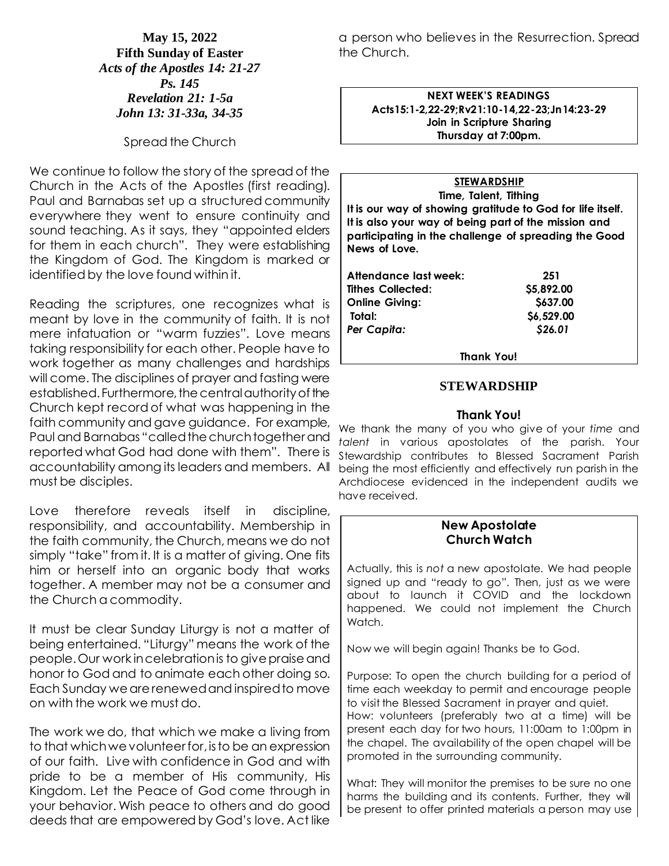**May 15, 2022 Fifth Sunday of Easter** *Acts of the Apostles 14: 21-27 Ps. 145 Revelation 21: 1-5a John 13: 31-33a, 34-35*

Spread the Church

We continue to follow the story of the spread of the Church in the Acts of the Apostles (first reading). Paul and Barnabas set up a structured community everywhere they went to ensure continuity and sound teaching. As it says, they "appointed elders for them in each church". They were establishing the Kingdom of God. The Kingdom is marked or identified by the love found within it.

Reading the scriptures, one recognizes what is meant by love in the community of faith. It is not mere infatuation or "warm fuzzies". Love means taking responsibility for each other. People have to work together as many challenges and hardships will come. The disciplines of prayer and fasting were established. Furthermore, the central authority of the Church kept record of what was happening in the faith community and gave guidance. For example, Paul and Barnabas "called the church together and reported what God had done with them". There is accountability among its leaders and members. All must be disciples.

Love therefore reveals itself in discipline, responsibility, and accountability. Membership in the faith community, the Church, means we do not simply "take" from it. It is a matter of giving. One fits him or herself into an organic body that works together. A member may not be a consumer and the Church a commodity.

It must be clear Sunday Liturgy is not a matter of being entertained. "Liturgy" means the work of the people. Our work in celebration is to give praise and honor to God and to animate each other doing so. Each Sunday we are renewed and inspired to move on with the work we must do.

The work we do, that which we make a living from to that which we volunteer for, is to be an expression of our faith. Live with confidence in God and with pride to be a member of His community, His Kingdom. Let the Peace of God come through in your behavior. Wish peace to others and do good deeds that are empowered by God's love. Act like

a person who believes in the Resurrection. Spread the Church.

**NEXT WEEK'S READINGS Acts15:1-2,22-29;Rv21:10-14,22-23;Jn14:23-29 Join in Scripture Sharing Thursday at 7:00pm.**

## **STEWARDSHIP**

**Time, Talent, Tithing It is our way of showing gratitude to God for life itself. It is also your way of being part of the mission and participating in the challenge of spreading the Good News of Love.**

| Attendance last week:    | 251        |
|--------------------------|------------|
| <b>Tithes Collected:</b> | \$5,892.00 |
| <b>Online Giving:</b>    | \$637.00   |
| Total:                   | \$6,529.00 |
| Per Capita:              | \$26.01    |

**Thank You!**

## **STEWARDSHIP**

#### **Thank You!**

We thank the many of you who give of your *time* and *talent* in various apostolates of the parish. Your Stewardship contributes to Blessed Sacrament Parish being the most efficiently and effectively run parish in the Archdiocese evidenced in the independent audits we have received.

## **New Apostolate Church Watch**

Actually, this is *not* a new apostolate. We had people signed up and "ready to go". Then, just as we were about to launch it COVID and the lockdown happened. We could not implement the Church Watch.

Now we will begin again! Thanks be to God.

promoted in the surrounding community.

Purpose: To open the church building for a period of time each weekday to permit and encourage people to visit the Blessed Sacrament in prayer and quiet. How: volunteers (preferably two at a time) will be present each day for two hours, 11:00am to 1:00pm in the chapel. The availability of the open chapel will be

What: They will monitor the premises to be sure no one harms the building and its contents. Further, they will be present to offer printed materials a person may use